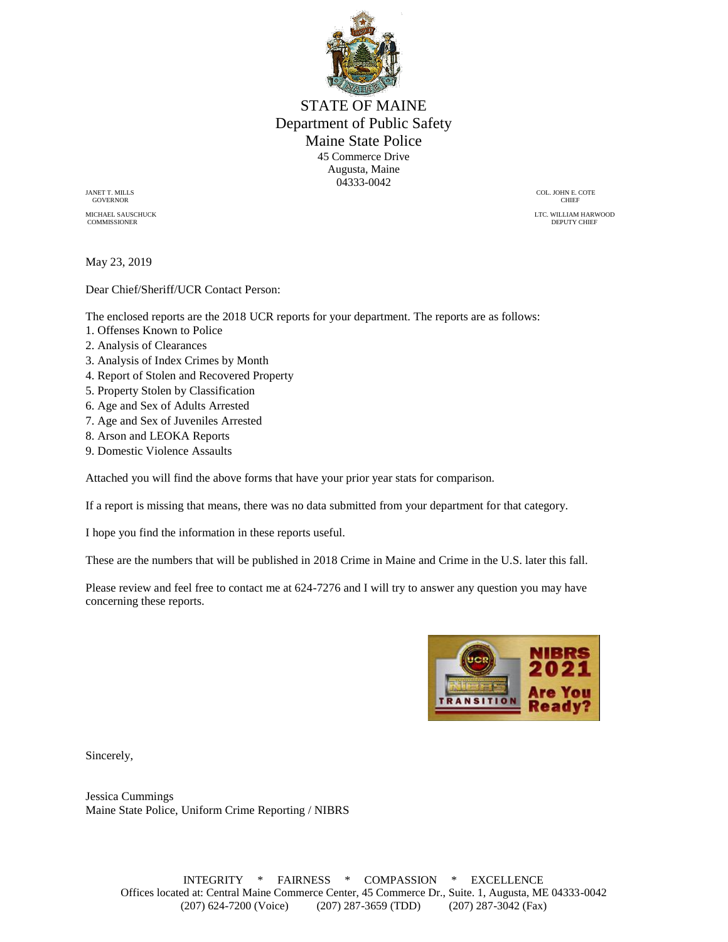

STATE OF MAINE Department of Public Safety Maine State Police 45 Commerce Drive Augusta, Maine 04333-0042

GOVERNOR CHIEF

COMMISSIONER DEPUTY CHIEF AND SERVICE OF THE SERVICE OF THE SERVICE OF THE SERVICE OF THE SERVICE OF THE SERVICE OF THE SERVICE OF THE SERVICE OF THE SERVICE OF THE SERVICE OF THE SERVICE OF THE SERVICE OF THE SERVICE OF T

JANET T. MILLS COL. JOHN E. COTE

MICHAEL SAUSCHUCK LTC. WILLIAM HARWOOD COMMISSIONER LTC. WILLIAM HARWOOD COMMISSIONER

May 23, 2019

Dear Chief/Sheriff/UCR Contact Person:

The enclosed reports are the 2018 UCR reports for your department. The reports are as follows:

- 1. Offenses Known to Police
- 2. Analysis of Clearances
- 3. Analysis of Index Crimes by Month
- 4. Report of Stolen and Recovered Property
- 5. Property Stolen by Classification
- 6. Age and Sex of Adults Arrested
- 7. Age and Sex of Juveniles Arrested
- 8. Arson and LEOKA Reports
- 9. Domestic Violence Assaults

Attached you will find the above forms that have your prior year stats for comparison.

If a report is missing that means, there was no data submitted from your department for that category.

I hope you find the information in these reports useful.

These are the numbers that will be published in 2018 Crime in Maine and Crime in the U.S. later this fall.

Please review and feel free to contact me at 624-7276 and I will try to answer any question you may have concerning these reports.



Sincerely,

Jessica Cummings Maine State Police, Uniform Crime Reporting / NIBRS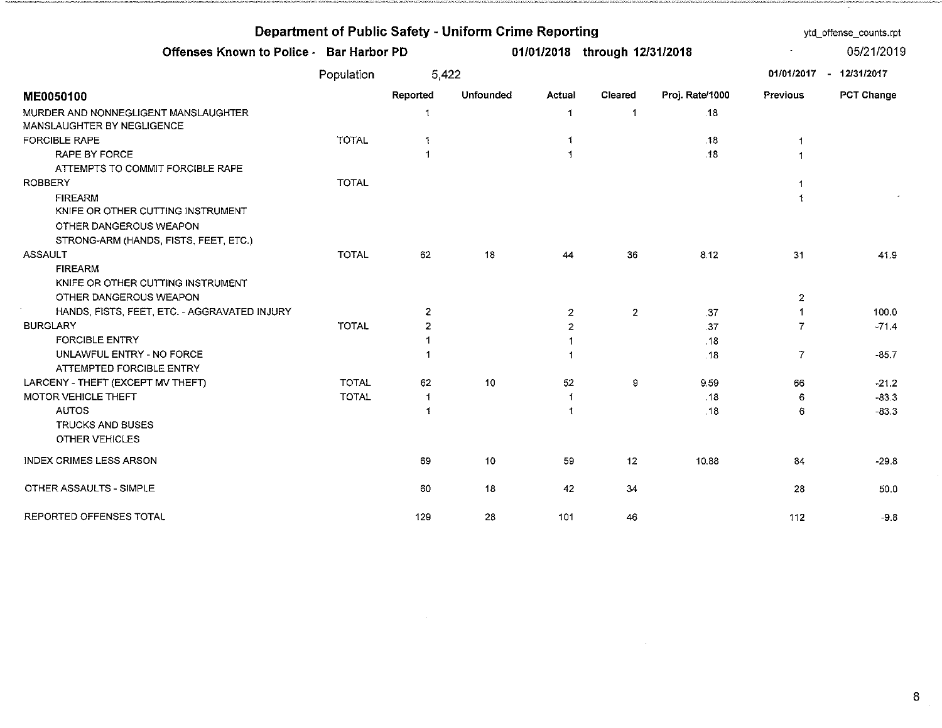| Department of Public Safety - Uniform Crime Reporting              |              | ytd_offense_counts.rpt |                  |                |                               |                 |              |                         |
|--------------------------------------------------------------------|--------------|------------------------|------------------|----------------|-------------------------------|-----------------|--------------|-------------------------|
| Offenses Known to Police - Bar Harbor PD                           |              |                        |                  |                | 01/01/2018 through 12/31/2018 |                 |              | 05/21/2019              |
|                                                                    | Population   | 5,422                  |                  |                |                               |                 |              | 01/01/2017 - 12/31/2017 |
| ME0050100                                                          |              | Reported               | <b>Unfounded</b> | Actual         | Cleared                       | Proj. Rate/1000 | Previous     | PCT Change              |
| MURDER AND NONNEGLIGENT MANSLAUGHTER<br>MANSLAUGHTER BY NEGLIGENCE |              | 1                      |                  | 1              | $\mathbf 1$                   | -18             |              |                         |
| <b>FORCIBLE RAPE</b>                                               | <b>TOTAL</b> | 1                      |                  | 1              |                               | .18             | $\mathbf 1$  |                         |
| <b>RAPE BY FORCE</b>                                               |              | 1                      |                  | 1              |                               | .18             | 1            |                         |
| ATTEMPTS TO COMMIT FORCIBLE RAPE                                   |              |                        |                  |                |                               |                 |              |                         |
| <b>ROBBERY</b>                                                     | <b>TOTAL</b> |                        |                  |                |                               |                 | 1            |                         |
| <b>FIREARM</b><br>KNIFE OR OTHER CUTTING INSTRUMENT                |              |                        |                  |                |                               |                 | $\mathbf 1$  |                         |
| OTHER DANGEROUS WEAPON                                             |              |                        |                  |                |                               |                 |              |                         |
| STRONG-ARM (HANDS, FISTS, FEET, ETC.)                              |              |                        |                  |                |                               |                 |              |                         |
| <b>ASSAULT</b>                                                     | <b>TOTAL</b> | 62                     | 18               | 44             | 36                            | 8.12            | 31           | 41.9                    |
| <b>FIREARM</b>                                                     |              |                        |                  |                |                               |                 |              |                         |
| KNIFE OR OTHER CUTTING INSTRUMENT                                  |              |                        |                  |                |                               |                 |              |                         |
| OTHER DANGEROUS WEAPON                                             |              |                        |                  |                |                               |                 | $\mathbf{2}$ |                         |
| HANDS, FISTS, FEET, ETC. - AGGRAVATED INJURY                       |              | $\overline{2}$         |                  | $\mathbf{2}$   | $\overline{2}$                | .37             | -1           | 100.0                   |
| <b>BURGLARY</b>                                                    | <b>TOTAL</b> | 2                      |                  | $\overline{2}$ |                               | .37             | 7            | $-71.4$                 |
| <b>FORCIBLE ENTRY</b>                                              |              | -1                     |                  | 1              |                               | .13             |              |                         |
| UNLAWFUL ENTRY - NO FORCE                                          |              | -1                     |                  | -1             |                               | .18             | 7            | $-85.7$                 |
| ATTEMPTED FORCIBLE ENTRY                                           |              |                        |                  |                |                               |                 |              |                         |
| LARCENY - THEFT (EXCEPT MV THEFT)                                  | <b>TOTAL</b> | 62                     | 10               | 52             | 9                             | 9.59            | 66           | $-21.2$                 |
| MOTOR VEHICLE THEFT                                                | <b>TOTAL</b> | 1                      |                  | 1              |                               | .18             | 6            | $-83.3$                 |
| <b>AUTOS</b>                                                       |              | 1                      |                  | 1              |                               | .18             | 6            | $-83.3$                 |
| <b>TRUCKS AND BUSES</b>                                            |              |                        |                  |                |                               |                 |              |                         |
| OTHER VEHICLES                                                     |              |                        |                  |                |                               |                 |              |                         |
| INDEX CRIMES LESS ARSON                                            |              | 69                     | 10               | 59             | 12                            | 10.88           | 84           | $-29.8$                 |
| OTHER ASSAULTS - SIMPLE                                            |              | 60                     | 18               | 42             | 34                            |                 | 28           | 50.0                    |
| REPORTED OFFENSES TOTAL                                            |              | 129                    | 28               | 101            | 46                            |                 | 112          | $-9.8$                  |

 $\mathcal{L}(\mathcal{L}(\mathcal{L}))$  and  $\mathcal{L}(\mathcal{L}(\mathcal{L}))$  . The contribution of  $\mathcal{L}(\mathcal{L})$ 

 $8<sup>1</sup>$ 

 $\cdot$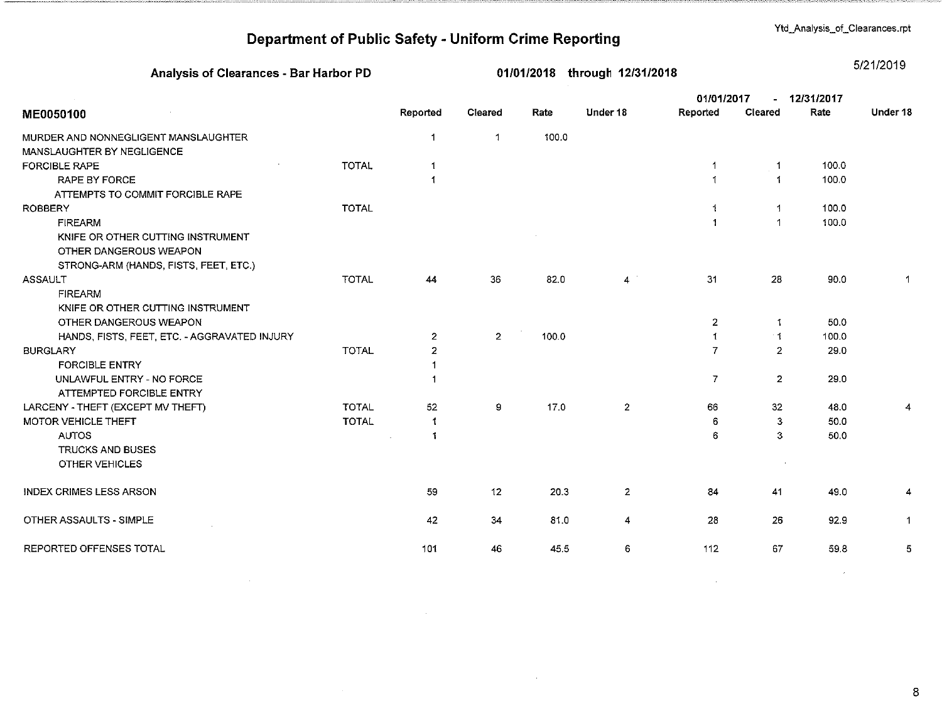Ytd\_Analysis\_of\_Clearances.rpt

# Department of Public Safety - Uniform Crime Reporting

### Analysis of Clearances - Bar Harbor PD

01/01/2018 through 12/31/2018

5/21/2019

|                                              |              |                      |                |       |                | 01/01/2017     |                      | 12/31/2017 |          |
|----------------------------------------------|--------------|----------------------|----------------|-------|----------------|----------------|----------------------|------------|----------|
| ME0050100                                    |              | Reported             | Cleared        | Rate  | Under 18       | Reported       | Cleared              | Rate       | Under 18 |
| MURDER AND NONNEGLIGENT MANSLAUGHTER         |              | $\mathbf{1}$         | $\mathbf{1}$   | 100.0 |                |                |                      |            |          |
| MANSLAUGHTER BY NEGLIGENCE                   |              |                      |                |       |                |                |                      |            |          |
| <b>FORCIBLE RAPE</b>                         | <b>TOTAL</b> | $\mathbf 1$          |                |       |                | -1             |                      | 100.0      |          |
| <b>RAPE BY FORCE</b>                         |              | $\mathbf{1}$         |                |       |                |                |                      | 100.0      |          |
| ATTEMPTS TO COMMIT FORCIBLE RAPE             |              |                      |                |       |                |                |                      |            |          |
| <b>ROBBERY</b>                               | <b>TOTAL</b> |                      |                |       |                |                | -1                   | 100.0      |          |
| <b>FIREARM</b>                               |              |                      |                |       |                | -1             | $\blacktriangleleft$ | 100.0      |          |
| KNIFE OR OTHER CUTTING INSTRUMENT            |              |                      |                |       |                |                |                      |            |          |
| OTHER DANGEROUS WEAPON                       |              |                      |                |       |                |                |                      |            |          |
| STRONG-ARM (HANDS, FISTS, FEET, ETC.)        |              |                      |                |       |                |                |                      |            |          |
| <b>ASSAULT</b>                               | <b>TOTAL</b> | 44                   | 36             | 82.0  | 4              | 31             | 28                   | 90.0       |          |
| <b>FIREARM</b>                               |              |                      |                |       |                |                |                      |            |          |
| KNIFE OR OTHER CUTTING INSTRUMENT            |              |                      |                |       |                |                |                      |            |          |
| OTHER DANGEROUS WEAPON                       |              |                      |                |       |                | $\mathbf{2}$   | -1                   | 50.0       |          |
| HANDS, FISTS, FEET, ETC. - AGGRAVATED INJURY |              | $\overline{2}$       | $\overline{2}$ | 100.0 |                | 1              | $\mathbf{1}$         | 100.0      |          |
| <b>BURGLARY</b>                              | <b>TOTAL</b> | $\overline{2}$       |                |       |                | 7              | $\overline{2}$       | 29.0       |          |
| <b>FORCIBLE ENTRY</b>                        |              | $\blacktriangleleft$ |                |       |                |                |                      |            |          |
| UNLAWFUL ENTRY - NO FORCE                    |              | -1                   |                |       |                | $\overline{7}$ | $\overline{2}$       | 29.0       |          |
| ATTEMPTED FORCIBLE ENTRY                     |              |                      |                |       |                |                |                      |            |          |
| LARCENY - THEFT (EXCEPT MV THEFT)            | <b>TOTAL</b> | 52                   | 9              | 17.0  | $\overline{2}$ | 66             | 32 <sub>2</sub>      | 48.0       |          |
| MOTOR VEHICLE THEFT                          | <b>TOTAL</b> | $\mathbf{1}$         |                |       |                | 6              | 3                    | 50.0       |          |
| <b>AUTOS</b>                                 |              | -1                   |                |       |                | 6              | 3                    | 50.0       |          |
| <b>TRUCKS AND BUSES</b>                      |              |                      |                |       |                |                |                      |            |          |
| <b>OTHER VEHICLES</b>                        |              |                      |                |       |                |                |                      |            |          |
| <b>INDEX CRIMES LESS ARSON</b>               |              | 59                   | 12             | 20.3  | $\overline{2}$ | 84             | 41                   | 49.0       |          |
| OTHER ASSAULTS - SIMPLE                      |              | 42                   | 34             | 81.0  | $\overline{4}$ | 28             | 26                   | 92.9       |          |
|                                              |              |                      |                |       |                |                |                      |            |          |
| REPORTED OFFENSES TOTAL                      |              | 101                  | 46             | 45.5  | 6              | 112            | 67                   | 59.8       | 5        |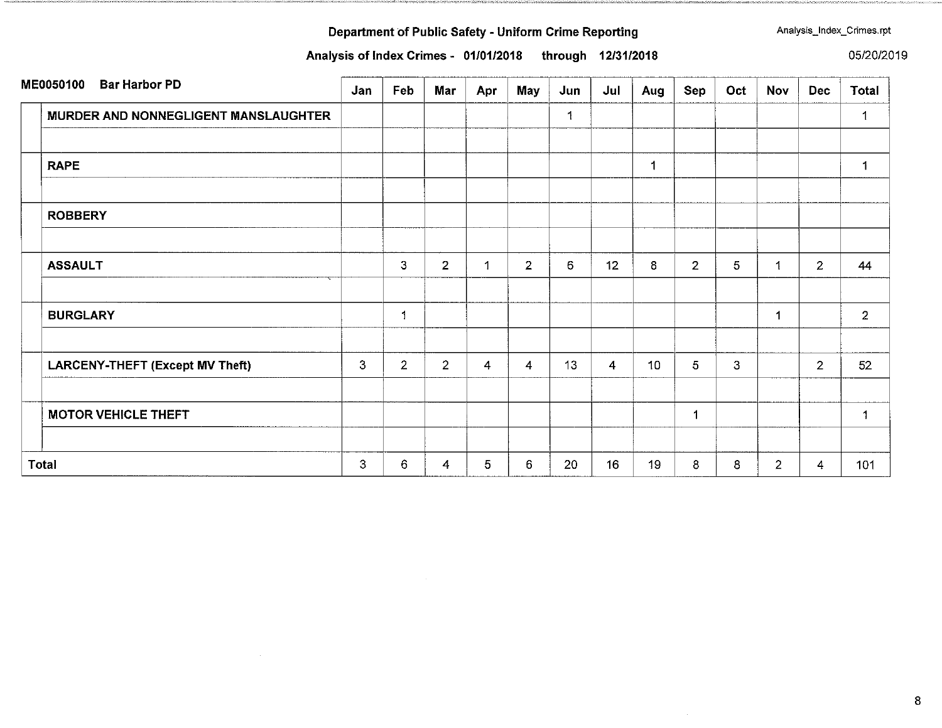Analysis of Index Crimes - 01/01/2018 through 12/31/2018

Analysis\_Index\_Crimes.rpt

05/20/2019

| ME0050100<br><b>Bar Harbor PD</b>    | Jan | Feb            | Mar            | Apr | May            | Jun | Jul | Aug | Sep            | Oct | Nov            | <b>Dec</b>     | <b>Total</b>   |
|--------------------------------------|-----|----------------|----------------|-----|----------------|-----|-----|-----|----------------|-----|----------------|----------------|----------------|
| MURDER AND NONNEGLIGENT MANSLAUGHTER |     |                |                |     |                | 1   |     |     |                |     |                |                | 1              |
| <b>RAPE</b>                          |     |                |                |     |                |     |     | 1   |                |     |                |                | 1              |
| <b>ROBBERY</b>                       |     |                |                |     |                |     |     |     |                |     |                |                |                |
| <b>ASSAULT</b>                       |     | $\mathbf{3}$   | $\overline{2}$ | -1  | $\overline{2}$ | 6   | 12  | 8   | $\overline{2}$ | 5   | $\mathbf{1}$   | $\mathbf{2}$   | 44             |
| <b>BURGLARY</b>                      |     | 1              |                |     |                |     |     |     |                |     |                |                | $\overline{2}$ |
| LARCENY-THEFT (Except MV Theft)      | 3   | $\overline{2}$ | $\overline{2}$ | 4   | $\overline{4}$ | 13  | 4   | 10  | 5              | 3   |                | $\overline{2}$ | 52             |
| <b>MOTOR VEHICLE THEFT</b>           |     |                |                |     |                |     |     |     | 1              |     |                |                | $\mathbf{1}$   |
| <b>Total</b>                         | 3   | 6              | 4              | 5   | 6              | 20  | 16  | 19  | 8              | 8   | $\overline{2}$ | 4              | 101            |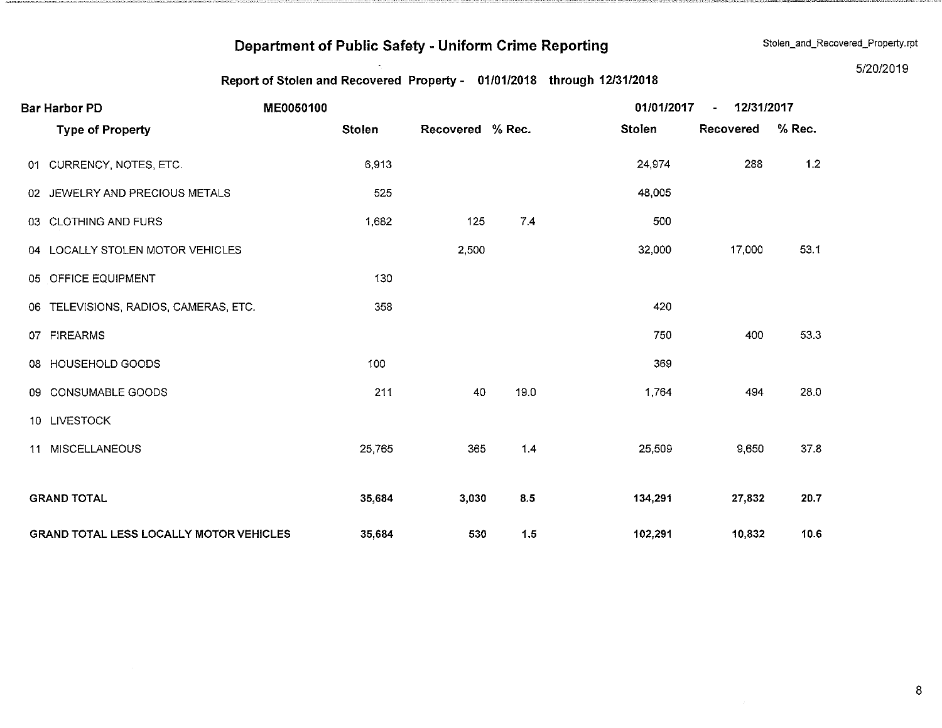Stolen\_and\_Recovered\_Property.rpt

### Report of Stolen and Recovered Property - 01/01/2018 through 12/31/2018

5/20/2019

| <b>Bar Harbor PD</b>                           | ME0050100     |                  |      | 01/01/2017    | 12/31/2017<br>$\blacksquare$ |        |  |
|------------------------------------------------|---------------|------------------|------|---------------|------------------------------|--------|--|
| <b>Type of Property</b>                        | <b>Stolen</b> | Recovered % Rec. |      | <b>Stolen</b> | Recovered                    | % Rec. |  |
| 01 CURRENCY, NOTES, ETC.                       | 6,913         |                  |      | 24,974        | 288                          | 1.2    |  |
| 02 JEWELRY AND PRECIOUS METALS                 | 525           |                  |      | 48,005        |                              |        |  |
| 03 CLOTHING AND FURS                           | 1,682         | 125              | 7.4  | 500           |                              |        |  |
| 04 LOCALLY STOLEN MOTOR VEHICLES               |               | 2,500            |      | 32,000        | 17,000                       | 53.1   |  |
| 05 OFFICE EQUIPMENT                            | 130           |                  |      |               |                              |        |  |
| 06 TELEVISIONS, RADIOS, CAMERAS, ETC.          | 358           |                  |      | 420           |                              |        |  |
| 07 FIREARMS                                    |               |                  |      | 750           | 400                          | 53.3   |  |
| 08 HOUSEHOLD GOODS                             | 100           |                  |      | 369           |                              |        |  |
| 09 CONSUMABLE GOODS                            | 211           | 40               | 19.0 | 1,764         | 494                          | 28.0   |  |
| 10 LIVESTOCK                                   |               |                  |      |               |                              |        |  |
| <b>MISCELLANEOUS</b><br>11                     | 25,765        | 365              | 1.4  | 25,509        | 9,650                        | 37.8   |  |
|                                                |               |                  |      |               |                              |        |  |
| <b>GRAND TOTAL</b>                             | 35,684        | 3,030            | 8.5  | 134,291       | 27,832                       | 20.7   |  |
| <b>GRAND TOTAL LESS LOCALLY MOTOR VEHICLES</b> | 35,684        | 530              | 1.5  | 102,291       | 10,832                       | 10.6   |  |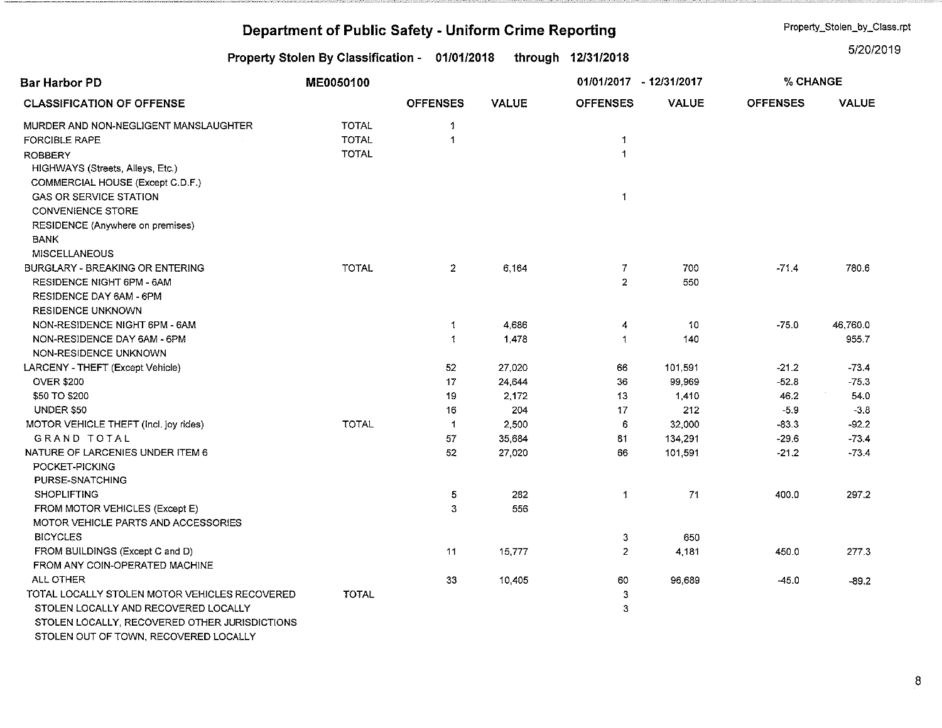|                                                    | Property_Stolen_by_Class.rpt                   |                 |              |                    |               |                 |              |
|----------------------------------------------------|------------------------------------------------|-----------------|--------------|--------------------|---------------|-----------------|--------------|
|                                                    | Property Stolen By Classification - 01/01/2018 |                 |              | through 12/31/2018 |               |                 | 5/20/2019    |
| <b>Bar Harbor PD</b>                               | ME0050100                                      |                 |              | 01/01/2017         | $-12/31/2017$ | % CHANGE        |              |
| <b>CLASSIFICATION OF OFFENSE</b>                   |                                                | <b>OFFENSES</b> | <b>VALUE</b> | <b>OFFENSES</b>    | <b>VALUE</b>  | <b>OFFENSES</b> | <b>VALUE</b> |
| MURDER AND NON-NEGLIGENT MANSLAUGHTER              | <b>TOTAL</b>                                   | $\mathbf{1}$    |              |                    |               |                 |              |
| <b>FORCIBLE RAPE</b>                               | <b>TOTAL</b>                                   | 1               |              | 1                  |               |                 |              |
| <b>ROBBERY</b><br>HIGHWAYS (Streets, Alleys, Etc.) | <b>TOTAL</b>                                   |                 |              | $\mathbf{1}$       |               |                 |              |
| COMMERCIAL HOUSE (Except C.D.F.)                   |                                                |                 |              |                    |               |                 |              |
| <b>GAS OR SERVICE STATION</b>                      |                                                |                 |              | -1                 |               |                 |              |
| <b>CONVENIENCE STORE</b>                           |                                                |                 |              |                    |               |                 |              |
| RESIDENCE (Anywhere on premises)                   |                                                |                 |              |                    |               |                 |              |
| <b>BANK</b>                                        |                                                |                 |              |                    |               |                 |              |
| <b>MISCELLANEOUS</b>                               |                                                |                 |              |                    |               |                 |              |
| BURGLARY - BREAKING OR ENTERING                    | <b>TOTAL</b>                                   | $\overline{z}$  | 6,164        | 7                  | 700           | $-71.4$         | 780.6        |
| RESIDENCE NIGHT 6PM - 6AM                          |                                                |                 |              | $\overline{a}$     | 550           |                 |              |
| RESIDENCE DAY 6AM - 6PM                            |                                                |                 |              |                    |               |                 |              |
| <b>RESIDENCE UNKNOWN</b>                           |                                                |                 |              |                    |               |                 |              |
| NON-RESIDENCE NIGHT 6PM - 6AM                      |                                                | 1               | 4,686        | 4                  | 10            | $-75.0$         | 46,760.0     |
| NON-RESIDENCE DAY 6AM - 6PM                        |                                                | 1               | 1,478        | 1                  | 140           |                 | 955.7        |
| NON-RESIDENCE UNKNOWN                              |                                                |                 |              |                    |               |                 |              |
| LARCENY - THEFT (Except Vehicle)                   |                                                | 52              | 27,020       | 66                 | 101,591       | $-21.2$         | $-73.4$      |
| <b>OVER \$200</b>                                  |                                                | 17              | 24,644       | 36                 | 99,969        | $-52.8$         | $-75.3$      |
| \$50 TO \$200                                      |                                                | 19              | 2,172        | 13                 | 1,410         | 46.2            | 54.0         |
| <b>UNDER \$50</b>                                  |                                                | 16              | 204          | 17                 | 212           | $-5.9$          | $-3.8$       |
| MOTOR VEHICLE THEFT (Incl. joy rides)              | <b>TOTAL</b>                                   | $\mathbf 1$     | 2,500        | 6                  | 32,000        | $-83.3$         | $-92.2$      |
| <b>GRAND TOTAL</b>                                 |                                                | 57              | 35,684       | 81                 | 134,291       | $-29.6$         | $-73.4$      |
| NATURE OF LARCENIES UNDER ITEM 6                   |                                                | 52              | 27,020       | 66                 | 101,591       | $-21.2$         | $-73.4$      |
| POCKET-PICKING                                     |                                                |                 |              |                    |               |                 |              |
| PURSE-SNATCHING                                    |                                                |                 |              |                    |               |                 |              |
| <b>SHOPLIFTING</b>                                 |                                                | 5               | 282          | 1                  | 71            | 400.0           | 297.2        |
| FROM MOTOR VEHICLES (Except E)                     |                                                | 3               | 556          |                    |               |                 |              |
| MOTOR VEHICLE PARTS AND ACCESSORIES                |                                                |                 |              |                    |               |                 |              |
| <b>BICYCLES</b>                                    |                                                |                 |              | 3                  | 650           |                 |              |
| FROM BUILDINGS (Except C and D)                    |                                                | 11              | 15,777       | 2                  | 4 181         | 450.0           | 277.3        |
| FROM ANY COIN-OPERATED MACHINE                     |                                                |                 |              |                    |               |                 |              |
| ALL OTHER                                          |                                                | 33              | 10,405       | 60                 | 96,689        | $-45.0$         | $-89.2$      |
| TOTAL LOCALLY STOLEN MOTOR VEHICLES RECOVERED      | <b>TOTAL</b>                                   |                 |              | 3                  |               |                 |              |
| STOLEN LOCALLY AND RECOVERED LOCALLY               |                                                |                 |              | 3                  |               |                 |              |
| STOLEN LOCALLY, RECOVERED OTHER JURISDICTIONS      |                                                |                 |              |                    |               |                 |              |
| STOLEN OUT OF TOWN, RECOVERED LOCALLY              |                                                |                 |              |                    |               |                 |              |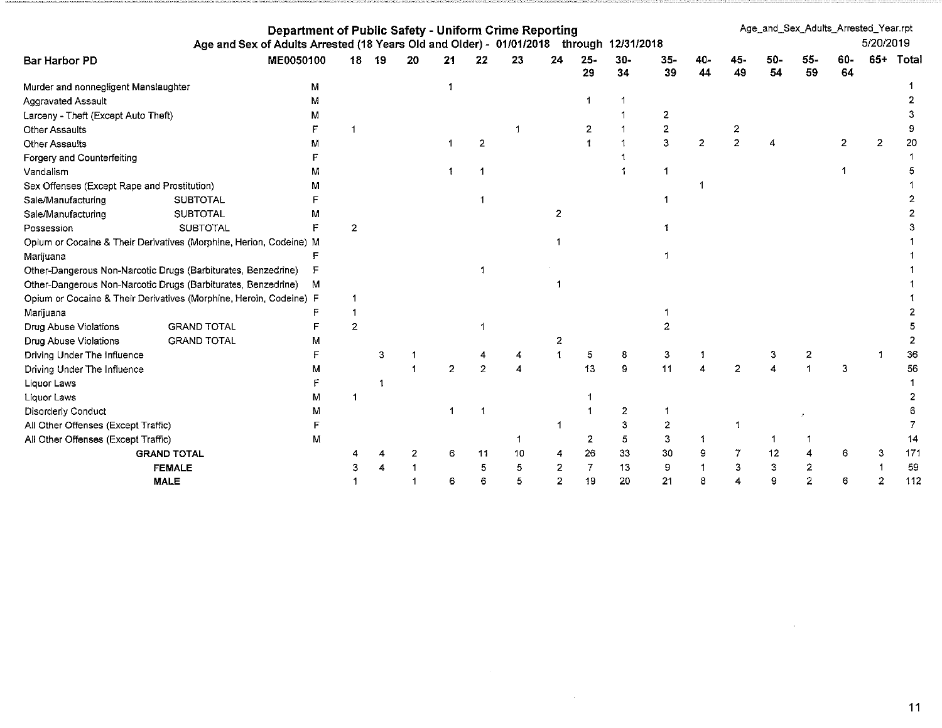| Department of Public Safety - Uniform Crime Reporting<br>Age and Sex of Adults Arrested (18 Years Old and Older) - 01/01/2018 through 12/31/2018 |                    |           |                |    |    |                |    |    |                |                |              | Age_and_Sex_Adults_Arrested_Year.rpt |              |    |           | 5/20/2019 |           |     |       |
|--------------------------------------------------------------------------------------------------------------------------------------------------|--------------------|-----------|----------------|----|----|----------------|----|----|----------------|----------------|--------------|--------------------------------------|--------------|----|-----------|-----------|-----------|-----|-------|
| Bar Harbor PD                                                                                                                                    |                    | ME0050100 | 18             | 19 | 20 | 21             | 22 | 23 | 24             | $25 -$<br>29   | $30 -$<br>34 | $35-$<br>39                          | 40-<br>44    | 49 | 50-<br>54 | 55-<br>59 | 60-<br>64 | 65+ | Total |
| Murder and nonnegligent Manslaughter                                                                                                             |                    | M         |                |    |    |                |    |    |                |                |              |                                      |              |    |           |           |           |     |       |
| Aggravated Assault                                                                                                                               |                    | м         |                |    |    |                |    |    |                |                |              |                                      |              |    |           |           |           |     |       |
| Larceny - Theft (Except Auto Theft)                                                                                                              |                    | м         |                |    |    |                |    |    |                |                |              | 2                                    |              |    |           |           |           |     |       |
| <b>Other Assaults</b>                                                                                                                            |                    |           |                |    |    |                |    |    |                | 2              |              | $\overline{2}$                       |              |    |           |           |           |     |       |
| Other Assaults                                                                                                                                   |                    |           |                |    |    |                |    |    |                |                |              | 3                                    | $\mathbf{2}$ |    |           |           |           | 2   | 20    |
| Forgery and Counterfeiting                                                                                                                       |                    |           |                |    |    |                |    |    |                |                |              |                                      |              |    |           |           |           |     |       |
| Vandalism                                                                                                                                        |                    | м         |                |    |    |                |    |    |                |                |              |                                      |              |    |           |           |           |     |       |
| Sex Offenses (Except Rape and Prostitution)                                                                                                      |                    |           |                |    |    |                |    |    |                |                |              |                                      |              |    |           |           |           |     |       |
| Sale/Manufacturing                                                                                                                               | <b>SUBTOTAL</b>    |           |                |    |    |                |    |    |                |                |              |                                      |              |    |           |           |           |     |       |
| Sale/Manufacturing                                                                                                                               | <b>SUBTOTAL</b>    |           |                |    |    |                |    |    | $\overline{2}$ |                |              |                                      |              |    |           |           |           |     |       |
| Possession                                                                                                                                       | <b>SUBTOTAL</b>    |           | っ              |    |    |                |    |    |                |                |              |                                      |              |    |           |           |           |     |       |
| Opium or Cocaine & Their Derivatives (Morphine, Herion, Codeine) M                                                                               |                    |           |                |    |    |                |    |    |                |                |              |                                      |              |    |           |           |           |     |       |
| Marijuana                                                                                                                                        |                    |           |                |    |    |                |    |    |                |                |              |                                      |              |    |           |           |           |     |       |
| Other-Dangerous Non-Narcotic Drugs (Barbiturates, Benzedrine)                                                                                    |                    |           |                |    |    |                |    |    |                |                |              |                                      |              |    |           |           |           |     |       |
| Other-Dangerous Non-Narcotic Drugs (Barbiturates, Benzedrine)                                                                                    |                    | м         |                |    |    |                |    |    |                |                |              |                                      |              |    |           |           |           |     |       |
| Opium or Cocaine & Their Derivatives (Morphine, Heroin, Codeine) F                                                                               |                    |           |                |    |    |                |    |    |                |                |              |                                      |              |    |           |           |           |     |       |
| Marijuana                                                                                                                                        |                    |           |                |    |    |                |    |    |                |                |              |                                      |              |    |           |           |           |     |       |
| Drug Abuse Violations                                                                                                                            | <b>GRAND TOTAL</b> |           | $\overline{2}$ |    |    |                |    |    |                |                |              |                                      |              |    |           |           |           |     |       |
| Drug Abuse Violations                                                                                                                            | <b>GRAND TOTAL</b> |           |                |    |    |                |    |    |                |                |              |                                      |              |    |           |           |           |     |       |
| Driving Under The Influence                                                                                                                      |                    |           |                | З  |    |                |    |    |                | 5              | 8            | 3                                    |              |    |           |           |           |     | 36    |
| Driving Under The Influence                                                                                                                      |                    | м         |                |    |    | $\overline{2}$ | 2  |    |                | 13             | 9            | 11                                   |              |    |           |           |           |     | 56    |
| Liquor Laws                                                                                                                                      |                    |           |                |    |    |                |    |    |                |                |              |                                      |              |    |           |           |           |     |       |
| Liquor Laws                                                                                                                                      |                    | м         |                |    |    |                |    |    |                |                |              |                                      |              |    |           |           |           |     |       |
| Disorderly Conduct                                                                                                                               |                    | Μ         |                |    |    |                |    |    |                |                | 2            |                                      |              |    |           |           |           |     |       |
| All Other Offenses (Except Traffic)                                                                                                              |                    |           |                |    |    |                |    |    |                |                | 3            | $\overline{2}$                       |              |    |           |           |           |     |       |
| All Other Offenses (Except Traffic)                                                                                                              |                    | М         |                |    |    |                |    |    |                | 2              | 5            | 3                                    |              |    |           |           |           |     | 14    |
|                                                                                                                                                  | <b>GRAND TOTAL</b> |           |                |    |    | 6              | 11 | 10 |                | 26             | 33           | 30                                   |              |    | 12        |           | 6         |     | 171   |
|                                                                                                                                                  | <b>FEMALE</b>      |           |                |    |    |                |    |    |                | $\overline{7}$ | 13           | 9                                    |              |    | 3         |           |           |     | 59    |
|                                                                                                                                                  | <b>MALE</b>        |           |                |    |    |                |    |    | $\overline{2}$ | 19             | 20           | 21                                   | 8            |    | 9         |           |           |     | 112   |

 $\label{eq:2.1} \frac{1}{\sqrt{2}}\int_{0}^{\infty}\frac{1}{\sqrt{2\pi}}\left(\frac{1}{\sqrt{2\pi}}\right)^{2\alpha} \frac{1}{\sqrt{2\pi}}\int_{0}^{\infty}\frac{1}{\sqrt{2\pi}}\left(\frac{1}{\sqrt{2\pi}}\right)^{\alpha} \frac{1}{\sqrt{2\pi}}\int_{0}^{\infty}\frac{1}{\sqrt{2\pi}}\frac{1}{\sqrt{2\pi}}\frac{1}{\sqrt{2\pi}}\frac{1}{\sqrt{2\pi}}\frac{1}{\sqrt{2\pi}}\frac{1}{\sqrt{2\pi}}\frac{1}{\sqrt{2\pi}}$ 

 $\mathcal{L}(\mathcal{L}(\mathcal{L}(\mathcal{L}(\mathcal{L}(\mathcal{L}(\mathcal{L}(\mathcal{L}(\mathcal{L}(\mathcal{L}(\mathcal{L}(\mathcal{L}(\mathcal{L}(\mathcal{L}(\mathcal{L}(\mathcal{L}(\mathcal{L}(\mathcal{L}(\mathcal{L}(\mathcal{L}(\mathcal{L}(\mathcal{L}(\mathcal{L}(\mathcal{L}(\mathcal{L}(\mathcal{L}(\mathcal{L}(\mathcal{L}(\mathcal{L}(\mathcal{L}(\mathcal{L}(\mathcal{L}(\mathcal{L}(\mathcal{L}(\mathcal{L}(\mathcal{L}(\mathcal{$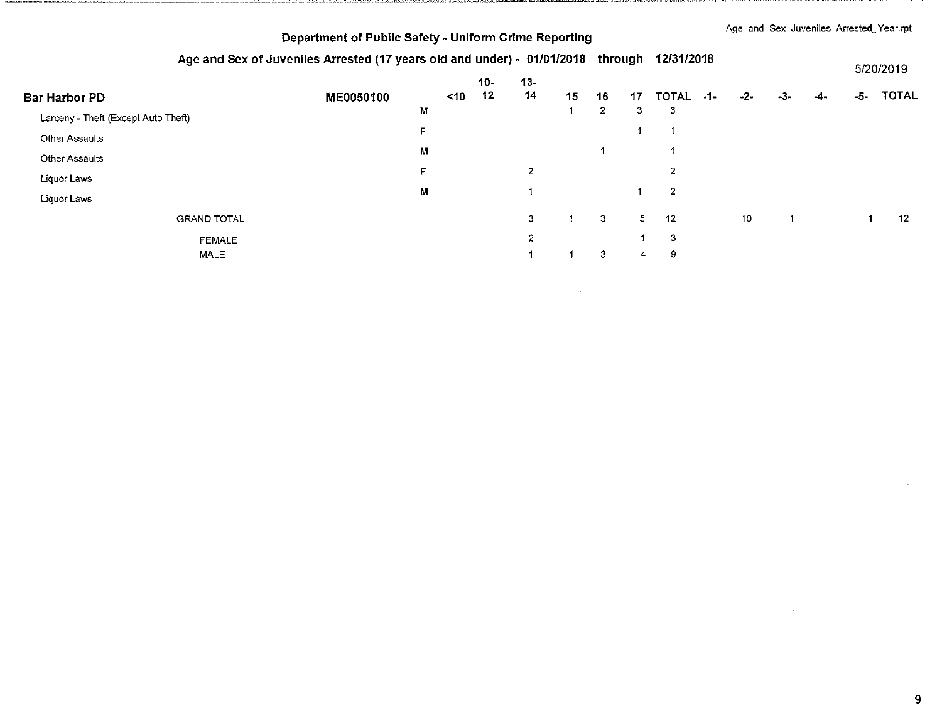|  |  | Age_and_Sex_Juveniles_Arrested_Year.rpt |  |
|--|--|-----------------------------------------|--|
|--|--|-----------------------------------------|--|

### Age and Sex of Juveniles Arrested (17 years old and under) - 01/01/2018 through 12/31/2018

|                                     | Ago and oca or cavemics Arrestor (i) yours old and under the mongole current international |   |           |       |                |    |              |    |                |       |                 |       |     | 5/20/2019 |              |  |
|-------------------------------------|--------------------------------------------------------------------------------------------|---|-----------|-------|----------------|----|--------------|----|----------------|-------|-----------------|-------|-----|-----------|--------------|--|
|                                     |                                                                                            |   |           | $10-$ | $13 -$         |    |              |    |                |       |                 |       |     |           |              |  |
| <b>Bar Harbor PD</b>                | ME0050100                                                                                  |   | $\leq 10$ | 12    | 14             | 15 | 16           | 17 | <b>TOTAL</b>   | $-1-$ | $-2-$           | $-3-$ | -4- | -5-       | <b>TOTAL</b> |  |
| Larceny - Theft (Except Auto Theft) |                                                                                            | M |           |       |                |    | $\mathbf{2}$ | 3  | 6              |       |                 |       |     |           |              |  |
| <b>Other Assaults</b>               |                                                                                            | F |           |       |                |    |              |    |                |       |                 |       |     |           |              |  |
| <b>Other Assaults</b>               |                                                                                            | М |           |       |                |    |              |    |                |       |                 |       |     |           |              |  |
| Liquor Laws                         |                                                                                            | F |           |       | $\overline{2}$ |    |              |    | $\mathbf{2}$   |       |                 |       |     |           |              |  |
| Liquor Laws                         |                                                                                            | M |           |       |                |    |              |    | $\overline{2}$ |       |                 |       |     |           |              |  |
| <b>GRAND TOTAL</b>                  |                                                                                            |   |           |       | 3              |    | 3            | 5  | -12            |       | 10 <sub>1</sub> |       |     |           | 12           |  |
| <b>FEMALE</b>                       |                                                                                            |   |           |       | $\mathbf{z}$   |    |              |    | 3              |       |                 |       |     |           |              |  |
| MALE                                |                                                                                            |   |           |       |                |    | 3            | 4  | 9              |       |                 |       |     |           |              |  |

 $\sim$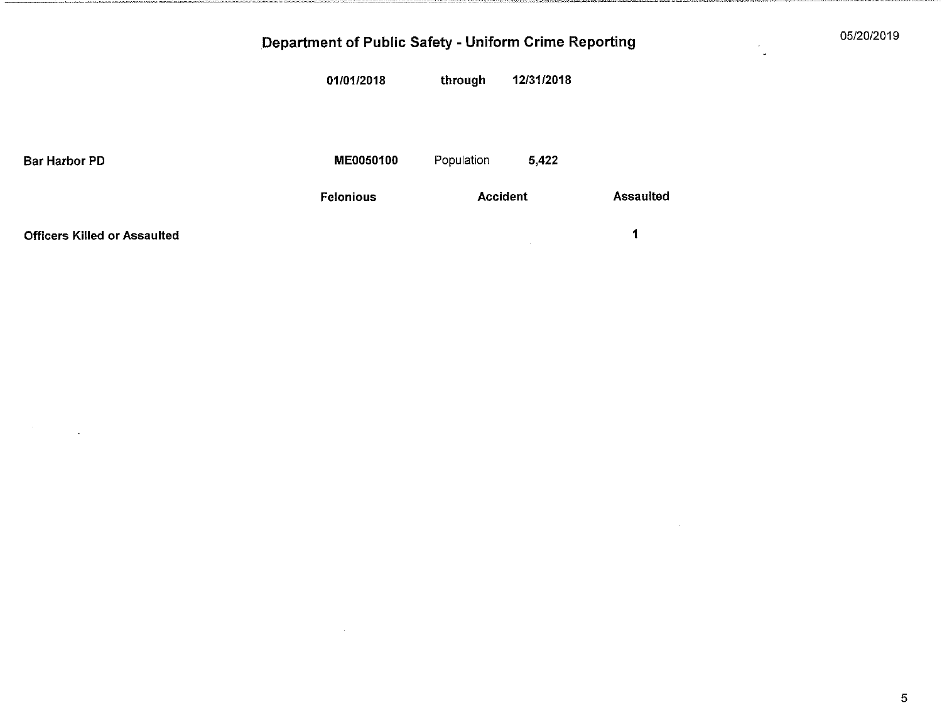05/20/2019

|                                     | 01/01/2018       | through         | 12/31/2018 |                  |
|-------------------------------------|------------------|-----------------|------------|------------------|
|                                     |                  |                 |            |                  |
|                                     |                  |                 |            |                  |
|                                     |                  |                 |            |                  |
| <b>Bar Harbor PD</b>                | ME0050100        | Population      | 5,422      |                  |
|                                     | <b>Felonious</b> | <b>Accident</b> |            | <b>Assaulted</b> |
|                                     |                  |                 |            |                  |
| <b>Officers Killed or Assaulted</b> |                  |                 |            | 1                |

 $\sim$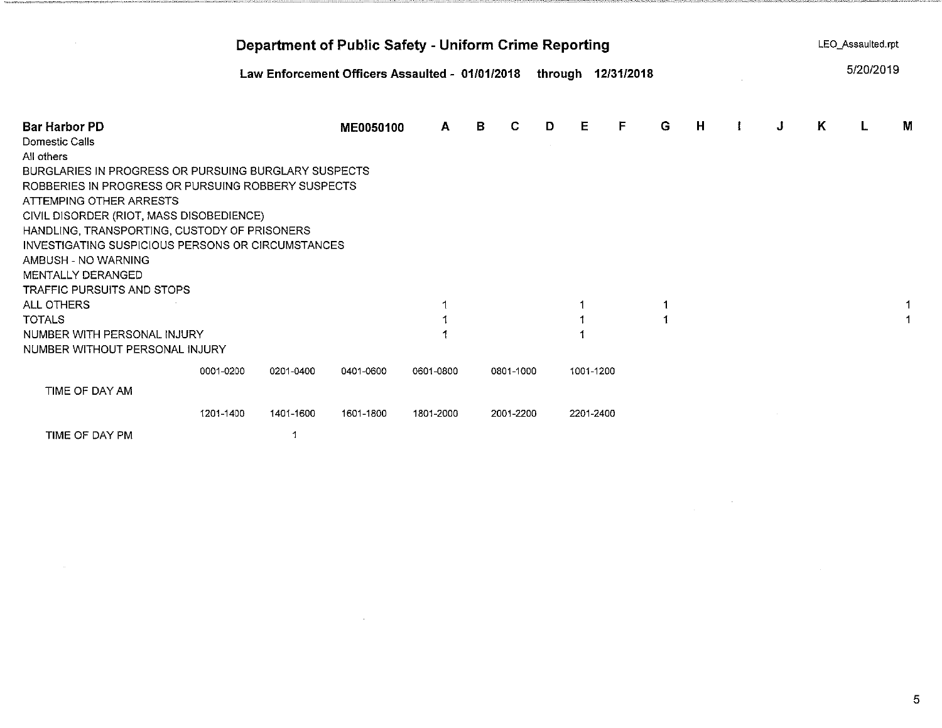| Department of Public Safety - Uniform Crime Reporting              |           |           |                                                                       |           |   |           |   |           |   |   |   |  | LEO Assaulted.rpt |   |           |   |  |
|--------------------------------------------------------------------|-----------|-----------|-----------------------------------------------------------------------|-----------|---|-----------|---|-----------|---|---|---|--|-------------------|---|-----------|---|--|
|                                                                    |           |           | Law Enforcement Officers Assaulted - 01/01/2018<br>through 12/31/2018 |           |   |           |   |           |   |   |   |  |                   |   | 5/20/2019 |   |  |
| Bar Harbor PD                                                      |           |           | ME0050100                                                             | A         | В | C         | D | E.        | F | G | Н |  | J                 | K | L         | M |  |
| Domestic Calls                                                     |           |           |                                                                       |           |   |           |   |           |   |   |   |  |                   |   |           |   |  |
| All others<br>BURGLARIES IN PROGRESS OR PURSUING BURGLARY SUSPECTS |           |           |                                                                       |           |   |           |   |           |   |   |   |  |                   |   |           |   |  |
| ROBBERIES IN PROGRESS OR PURSUING ROBBERY SUSPECTS                 |           |           |                                                                       |           |   |           |   |           |   |   |   |  |                   |   |           |   |  |
| ATTEMPING OTHER ARRESTS                                            |           |           |                                                                       |           |   |           |   |           |   |   |   |  |                   |   |           |   |  |
| CIVIL DISORDER (RIOT, MASS DISOBEDIENCE)                           |           |           |                                                                       |           |   |           |   |           |   |   |   |  |                   |   |           |   |  |
| HANDLING, TRANSPORTING, CUSTODY OF PRISONERS                       |           |           |                                                                       |           |   |           |   |           |   |   |   |  |                   |   |           |   |  |
| INVESTIGATING SUSPICIOUS PERSONS OR CIRCUMSTANCES                  |           |           |                                                                       |           |   |           |   |           |   |   |   |  |                   |   |           |   |  |
| AMBUSH - NO WARNING                                                |           |           |                                                                       |           |   |           |   |           |   |   |   |  |                   |   |           |   |  |
| MENTALLY DERANGED                                                  |           |           |                                                                       |           |   |           |   |           |   |   |   |  |                   |   |           |   |  |
| TRAFFIC PURSUITS AND STOPS                                         |           |           |                                                                       |           |   |           |   |           |   |   |   |  |                   |   |           |   |  |
| ALL OTHERS<br>TOTALS                                               |           |           |                                                                       |           |   |           |   |           |   |   |   |  |                   |   |           |   |  |
| NUMBER WITH PERSONAL INJURY                                        |           |           |                                                                       |           |   |           |   |           |   |   |   |  |                   |   |           |   |  |
| NUMBER WITHOUT PERSONAL INJURY                                     |           |           |                                                                       |           |   |           |   |           |   |   |   |  |                   |   |           |   |  |
|                                                                    | 0001-0200 | 0201-0400 | 0401-0600                                                             | 0601-0800 |   | 0801-1000 |   | 1001-1200 |   |   |   |  |                   |   |           |   |  |
| TIME OF DAY AM                                                     |           |           |                                                                       |           |   |           |   |           |   |   |   |  |                   |   |           |   |  |
|                                                                    | 1201-1400 | 1401-1600 | 1601-1800                                                             | 1801-2000 |   | 2001-2200 |   | 2201-2400 |   |   |   |  |                   |   |           |   |  |
| TIME OF DAY PM                                                     |           | 1         |                                                                       |           |   |           |   |           |   |   |   |  |                   |   |           |   |  |

 $\label{eq:2.1} \frac{1}{\sqrt{2\pi}}\int_{0}^{\infty}\frac{1}{\sqrt{2\pi}}\left(\frac{1}{\sqrt{2\pi}}\right)^{2\alpha} \frac{1}{\sqrt{2\pi}}\int_{0}^{\infty}\frac{1}{\sqrt{2\pi}}\frac{1}{\sqrt{2\pi}}\int_{0}^{\infty}\frac{1}{\sqrt{2\pi}}\frac{1}{\sqrt{2\pi}}\frac{1}{\sqrt{2\pi}}\frac{1}{\sqrt{2\pi}}\frac{1}{\sqrt{2\pi}}\frac{1}{\sqrt{2\pi}}\frac{1}{\sqrt{2\pi}}\frac{1}{\sqrt{2\pi}}\frac{1}{\$ 

 $\label{eq:2.1} \frac{1}{\sqrt{2}}\int_{\mathbb{R}^3}\frac{1}{\sqrt{2}}\left(\frac{1}{\sqrt{2}}\right)^2\left(\frac{1}{\sqrt{2}}\right)^2\left(\frac{1}{\sqrt{2}}\right)^2\left(\frac{1}{\sqrt{2}}\right)^2\left(\frac{1}{\sqrt{2}}\right)^2\left(\frac{1}{\sqrt{2}}\right)^2.$